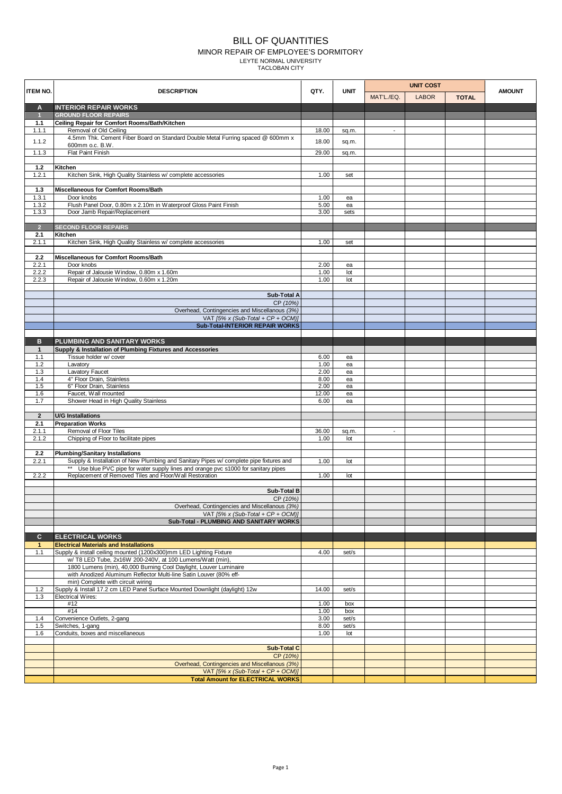## BILL OF QUANTITIES MINOR REPAIR OF EMPLOYEE'S DORMITORY LEYTE NORMAL UNIVERSITY TACLOBAN CITY

| <b>ITEM NO.</b> | <b>DESCRIPTION</b>                                                                                               | QTY.         | <b>UNIT</b>  | <b>UNIT COST</b>         |              |              |               |
|-----------------|------------------------------------------------------------------------------------------------------------------|--------------|--------------|--------------------------|--------------|--------------|---------------|
|                 |                                                                                                                  |              |              | MAT'L./EQ.               | <b>LABOR</b> | <b>TOTAL</b> | <b>AMOUNT</b> |
| A               | <b>INTERIOR REPAIR WORKS</b>                                                                                     |              |              |                          |              |              |               |
| $\overline{1}$  | <b>GROUND FLOOR REPAIRS</b>                                                                                      |              |              |                          |              |              |               |
| 1.1<br>1.1.1    | Ceiling Repair for Comfort Rooms/Bath/Kitchen<br>Removal of Old Ceiling                                          | 18.00        |              | $\overline{\phantom{a}}$ |              |              |               |
|                 | 4.5mm Thk. Cement Fiber Board on Standard Double Metal Furring spaced @ 600mm x                                  |              | sq.m.        |                          |              |              |               |
| 1.1.2           | 600mm o.c. B.W.                                                                                                  | 18.00        | sq.m.        |                          |              |              |               |
| 1.1.3           | Flat Paint Finish                                                                                                | 29.00        | sq.m.        |                          |              |              |               |
|                 |                                                                                                                  |              |              |                          |              |              |               |
| $1.2$<br>1.2.1  | Kitchen<br>Kitchen Sink, High Quality Stainless w/ complete accessories                                          | 1.00         | set          |                          |              |              |               |
|                 |                                                                                                                  |              |              |                          |              |              |               |
| $1.3$           | Miscellaneous for Comfort Rooms/Bath                                                                             |              |              |                          |              |              |               |
| 1.3.1           | Door knobs                                                                                                       | 1.00         | ea           |                          |              |              |               |
| 1.3.2           | Flush Panel Door, 0.80m x 2.10m in Waterproof Gloss Paint Finish                                                 | 5.00         | ea           |                          |              |              |               |
| 1.3.3           | Door Jamb Repair/Replacement                                                                                     | 3.00         | sets         |                          |              |              |               |
| $\overline{2}$  | <b>SECOND FLOOR REPAIRS</b>                                                                                      |              |              |                          |              |              |               |
| 2.1             | Kitchen                                                                                                          |              |              |                          |              |              |               |
| 2.1.1           | Kitchen Sink, High Quality Stainless w/ complete accessories                                                     | 1.00         | set          |                          |              |              |               |
|                 |                                                                                                                  |              |              |                          |              |              |               |
| 2.2             | Miscellaneous for Comfort Rooms/Bath                                                                             |              |              |                          |              |              |               |
| 2.2.1           | Door knobs                                                                                                       | 2.00         | ea           |                          |              |              |               |
| 2.2.2<br>2.2.3  | Repair of Jalousie Window, 0.80m x 1.60m<br>Repair of Jalousie Window, 0.60m x 1.20m                             | 1.00<br>1.00 | lot<br>lot   |                          |              |              |               |
|                 |                                                                                                                  |              |              |                          |              |              |               |
|                 | Sub-Total A                                                                                                      |              |              |                          |              |              |               |
|                 | CP (10%)                                                                                                         |              |              |                          |              |              |               |
|                 | Overhead, Contingencies and Miscellanous (3%)                                                                    |              |              |                          |              |              |               |
|                 | VAT [5% x (Sub-Total + CP + OCM)]                                                                                |              |              |                          |              |              |               |
|                 | Sub-Total-INTERIOR REPAIR WORKS                                                                                  |              |              |                          |              |              |               |
| в               | PLUMBING AND SANITARY WORKS                                                                                      |              |              |                          |              |              |               |
| $\mathbf{1}$    | Supply & Installation of Plumbing Fixtures and Accessories                                                       |              |              |                          |              |              |               |
| 1.1             | Tissue holder w/ cover                                                                                           | 6.00         | ea           |                          |              |              |               |
| 1.2             | Lavatory                                                                                                         | 1.00         | ea           |                          |              |              |               |
| 1.3             | Lavatory Faucet                                                                                                  | 2.00         | ea           |                          |              |              |               |
| 1.4<br>1.5      | 4" Floor Drain, Stainless<br>6" Floor Drain, Stainless                                                           | 8.00<br>2.00 | ea           |                          |              |              |               |
| 1.6             | Faucet, Wall mounted                                                                                             | 12.00        | ea<br>ea     |                          |              |              |               |
| 1.7             | Shower Head in High Quality Stainless                                                                            | 6.00         | ea           |                          |              |              |               |
|                 |                                                                                                                  |              |              |                          |              |              |               |
| $\overline{2}$  | <b>U/G Installations</b>                                                                                         |              |              |                          |              |              |               |
| 2.1<br>2.1.1    | <b>Preparation Works</b><br>Removal of Floor Tiles                                                               | 36.00        |              | $\blacksquare$           |              |              |               |
| 2.1.2           | Chipping of Floor to facilitate pipes                                                                            | 1.00         | sq.m.<br>lot |                          |              |              |               |
|                 |                                                                                                                  |              |              |                          |              |              |               |
| 2.2             | <b>Plumbing/Sanitary Installations</b>                                                                           |              |              |                          |              |              |               |
| 2.2.1           | Supply & Installation of New Plumbing and Sanitary Pipes w/ complete pipe fixtures and                           | 1.00         | lot          |                          |              |              |               |
|                 | ** Use blue PVC pipe for water supply lines and orange pvc s1000 for sanitary pipes                              |              |              |                          |              |              |               |
| 2.2.2           | Replacement of Removed Tiles and Floor/Wall Restoration                                                          | 1.00         | lot          |                          |              |              |               |
|                 | <b>Sub-Total B</b>                                                                                               |              |              |                          |              |              |               |
|                 | CP (10%)                                                                                                         |              |              |                          |              |              |               |
|                 | Overhead, Contingencies and Miscellanous (3%)                                                                    |              |              |                          |              |              |               |
|                 | VAT $[5\% \times (Sub-Total + CP + OCM)]$                                                                        |              |              |                          |              |              |               |
|                 | Sub-Total - PLUMBING AND SANITARY WORKS                                                                          |              |              |                          |              |              |               |
| C.              | <b>ELECTRICAL WORKS</b>                                                                                          |              |              |                          |              |              |               |
| $\mathbf{1}$    | <b>Electrical Materials and Installations</b>                                                                    |              |              |                          |              |              |               |
| 1.1             | Supply & install ceiling mounted (1200x300)mm LED Lighting Fixture                                               | 4.00         | set/s        |                          |              |              |               |
|                 | w/ T8 LED Tube, 2x16W 200-240V, at 100 Lumens/Watt (min),                                                        |              |              |                          |              |              |               |
|                 | 1800 Lumens (min), 40,000 Burning Cool Daylight, Louver Luminaire                                                |              |              |                          |              |              |               |
|                 | with Anodized Aluminum Reflector Multi-line Satin Louver (80% eff-                                               |              |              |                          |              |              |               |
| 1.2             | min) Complete with circuit wiring<br>Supply & Install 17.2 cm LED Panel Surface Mounted Downlight (daylight) 12w | 14.00        | set/s        |                          |              |              |               |
| 1.3             | <b>Electrical Wires:</b>                                                                                         |              |              |                          |              |              |               |
|                 | #12                                                                                                              | 1.00         | box          |                          |              |              |               |
|                 | #14                                                                                                              | 1.00         | box          |                          |              |              |               |
| 1.4             | Convenience Outlets, 2-gang                                                                                      | 3.00         | set/s        |                          |              |              |               |
| 1.5             | Switches, 1-gang                                                                                                 | 8.00<br>1.00 | set/s        |                          |              |              |               |
| 1.6             | Conduits, boxes and miscellaneous                                                                                |              | lot          |                          |              |              |               |
|                 | <b>Sub-Total C</b>                                                                                               |              |              |                          |              |              |               |
|                 | CP (10%)                                                                                                         |              |              |                          |              |              |               |
|                 | Overhead, Contingencies and Miscellanous (3%)                                                                    |              |              |                          |              |              |               |
|                 | VAT $[5\% \times (Sub-Total + CP + OCM)]$                                                                        |              |              |                          |              |              |               |
|                 | <b>Total Amount for ELECTRICAL WORKS</b>                                                                         |              |              |                          |              |              |               |